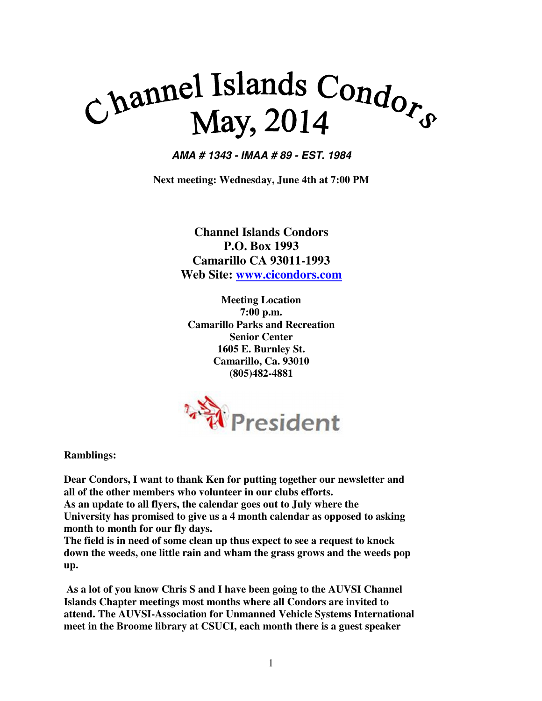# Channel Islands Condor<sub>s</sub> May, 2014

**AMA # 1343 - IMAA # 89 - EST. 1984** 

**Next meeting: Wednesday, June 4th at 7:00 PM** 

**Channel Islands Condors P.O. Box 1993 Camarillo CA 93011-1993 Web Site: www.cicondors.com**

**Meeting Location 7:00 p.m. Camarillo Parks and Recreation Senior Center 1605 E. Burnley St. Camarillo, Ca. 93010 (805)482-4881** 



**Ramblings:** 

**Dear Condors, I want to thank Ken for putting together our newsletter and all of the other members who volunteer in our clubs efforts.** 

**As an update to all flyers, the calendar goes out to July where the University has promised to give us a 4 month calendar as opposed to asking month to month for our fly days.** 

**The field is in need of some clean up thus expect to see a request to knock down the weeds, one little rain and wham the grass grows and the weeds pop up.** 

 **As a lot of you know Chris S and I have been going to the AUVSI Channel Islands Chapter meetings most months where all Condors are invited to attend. The AUVSI-Association for Unmanned Vehicle Systems International meet in the Broome library at CSUCI, each month there is a guest speaker**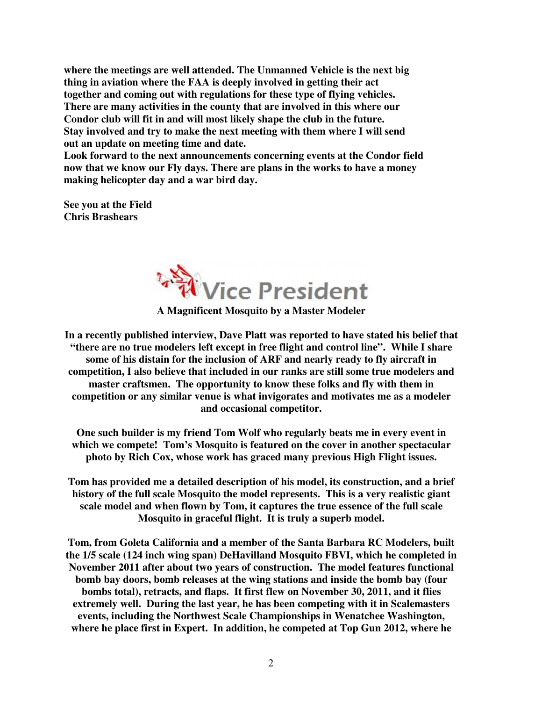**where the meetings are well attended. The Unmanned Vehicle is the next big thing in aviation where the FAA is deeply involved in getting their act together and coming out with regulations for these type of flying vehicles. There are many activities in the county that are involved in this where our Condor club will fit in and will most likely shape the club in the future. Stay involved and try to make the next meeting with them where I will send out an update on meeting time and date.** 

**Look forward to the next announcements concerning events at the Condor field now that we know our Fly days. There are plans in the works to have a money making helicopter day and a war bird day.** 

**See you at the Field Chris Brashears** 



**In a recently published interview, Dave Platt was reported to have stated his belief that "there are no true modelers left except in free flight and control line". While I share some of his distain for the inclusion of ARF and nearly ready to fly aircraft in competition, I also believe that included in our ranks are still some true modelers and master craftsmen. The opportunity to know these folks and fly with them in competition or any similar venue is what invigorates and motivates me as a modeler and occasional competitor.** 

**One such builder is my friend Tom Wolf who regularly beats me in every event in which we compete! Tom's Mosquito is featured on the cover in another spectacular photo by Rich Cox, whose work has graced many previous High Flight issues.** 

**Tom has provided me a detailed description of his model, its construction, and a brief history of the full scale Mosquito the model represents. This is a very realistic giant scale model and when flown by Tom, it captures the true essence of the full scale Mosquito in graceful flight. It is truly a superb model.** 

**Tom, from Goleta California and a member of the Santa Barbara RC Modelers, built the 1/5 scale (124 inch wing span) DeHavilland Mosquito FBVI, which he completed in November 2011 after about two years of construction. The model features functional bomb bay doors, bomb releases at the wing stations and inside the bomb bay (four bombs total), retracts, and flaps. It first flew on November 30, 2011, and it flies extremely well. During the last year, he has been competing with it in Scalemasters events, including the Northwest Scale Championships in Wenatchee Washington, where he place first in Expert. In addition, he competed at Top Gun 2012, where he**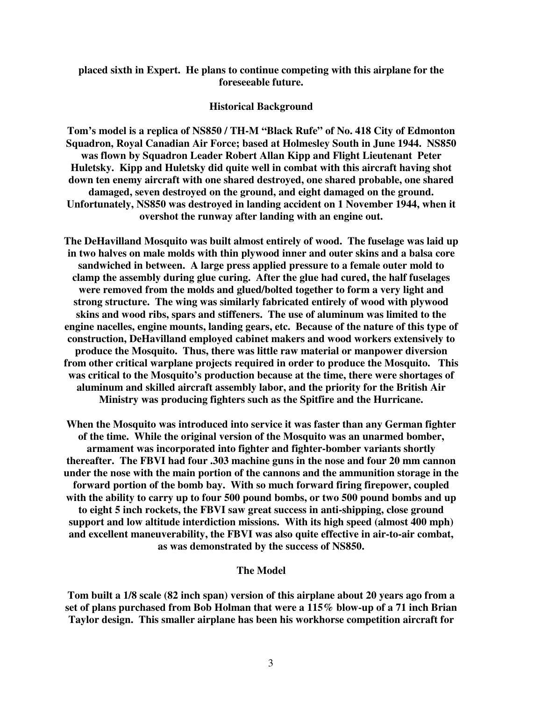## **placed sixth in Expert. He plans to continue competing with this airplane for the foreseeable future.**

### **Historical Background**

**Tom's model is a replica of NS850 / TH-M "Black Rufe" of No. 418 City of Edmonton Squadron, Royal Canadian Air Force; based at Holmesley South in June 1944. NS850 was flown by Squadron Leader Robert Allan Kipp and Flight Lieutenant Peter Huletsky. Kipp and Huletsky did quite well in combat with this aircraft having shot down ten enemy aircraft with one shared destroyed, one shared probable, one shared damaged, seven destroyed on the ground, and eight damaged on the ground. Unfortunately, NS850 was destroyed in landing accident on 1 November 1944, when it overshot the runway after landing with an engine out.** 

**The DeHavilland Mosquito was built almost entirely of wood. The fuselage was laid up in two halves on male molds with thin plywood inner and outer skins and a balsa core sandwiched in between. A large press applied pressure to a female outer mold to clamp the assembly during glue curing. After the glue had cured, the half fuselages were removed from the molds and glued/bolted together to form a very light and strong structure. The wing was similarly fabricated entirely of wood with plywood skins and wood ribs, spars and stiffeners. The use of aluminum was limited to the engine nacelles, engine mounts, landing gears, etc. Because of the nature of this type of construction, DeHavilland employed cabinet makers and wood workers extensively to produce the Mosquito. Thus, there was little raw material or manpower diversion from other critical warplane projects required in order to produce the Mosquito. This was critical to the Mosquito's production because at the time, there were shortages of aluminum and skilled aircraft assembly labor, and the priority for the British Air Ministry was producing fighters such as the Spitfire and the Hurricane.** 

**When the Mosquito was introduced into service it was faster than any German fighter of the time. While the original version of the Mosquito was an unarmed bomber, armament was incorporated into fighter and fighter-bomber variants shortly thereafter. The FBVI had four .303 machine guns in the nose and four 20 mm cannon under the nose with the main portion of the cannons and the ammunition storage in the forward portion of the bomb bay. With so much forward firing firepower, coupled with the ability to carry up to four 500 pound bombs, or two 500 pound bombs and up to eight 5 inch rockets, the FBVI saw great success in anti-shipping, close ground support and low altitude interdiction missions. With its high speed (almost 400 mph) and excellent maneuverability, the FBVI was also quite effective in air-to-air combat, as was demonstrated by the success of NS850.** 

### **The Model**

**Tom built a 1/8 scale (82 inch span) version of this airplane about 20 years ago from a set of plans purchased from Bob Holman that were a 115% blow-up of a 71 inch Brian Taylor design. This smaller airplane has been his workhorse competition aircraft for**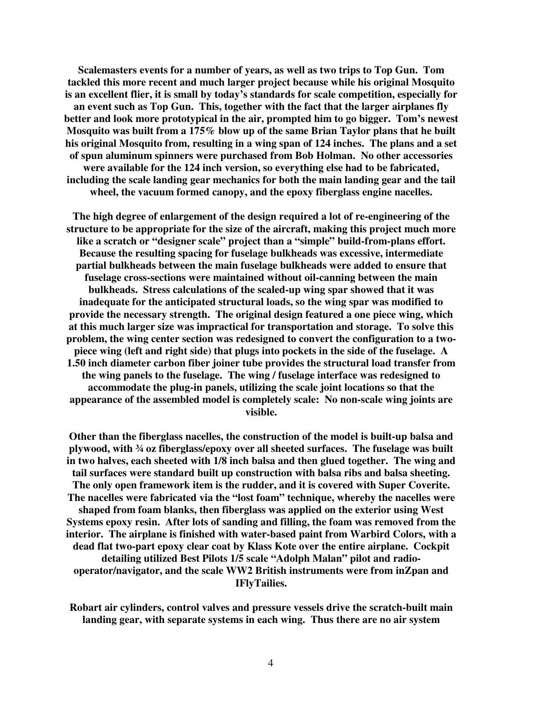**Scalemasters events for a number of years, as well as two trips to Top Gun. Tom tackled this more recent and much larger project because while his original Mosquito is an excellent flier, it is small by today's standards for scale competition, especially for an event such as Top Gun. This, together with the fact that the larger airplanes fly better and look more prototypical in the air, prompted him to go bigger. Tom's newest Mosquito was built from a 175% blow up of the same Brian Taylor plans that he built his original Mosquito from, resulting in a wing span of 124 inches. The plans and a set of spun aluminum spinners were purchased from Bob Holman. No other accessories were available for the 124 inch version, so everything else had to be fabricated, including the scale landing gear mechanics for both the main landing gear and the tail wheel, the vacuum formed canopy, and the epoxy fiberglass engine nacelles.** 

**The high degree of enlargement of the design required a lot of re-engineering of the structure to be appropriate for the size of the aircraft, making this project much more like a scratch or "designer scale" project than a "simple" build-from-plans effort. Because the resulting spacing for fuselage bulkheads was excessive, intermediate partial bulkheads between the main fuselage bulkheads were added to ensure that fuselage cross-sections were maintained without oil-canning between the main bulkheads. Stress calculations of the scaled-up wing spar showed that it was inadequate for the anticipated structural loads, so the wing spar was modified to provide the necessary strength. The original design featured a one piece wing, which at this much larger size was impractical for transportation and storage. To solve this problem, the wing center section was redesigned to convert the configuration to a twopiece wing (left and right side) that plugs into pockets in the side of the fuselage. A 1.50 inch diameter carbon fiber joiner tube provides the structural load transfer from the wing panels to the fuselage. The wing / fuselage interface was redesigned to accommodate the plug-in panels, utilizing the scale joint locations so that the appearance of the assembled model is completely scale: No non-scale wing joints are visible.** 

**Other than the fiberglass nacelles, the construction of the model is built-up balsa and plywood, with ¾ oz fiberglass/epoxy over all sheeted surfaces. The fuselage was built in two halves, each sheeted with 1/8 inch balsa and then glued together. The wing and tail surfaces were standard built up construction with balsa ribs and balsa sheeting. The only open framework item is the rudder, and it is covered with Super Coverite. The nacelles were fabricated via the "lost foam" technique, whereby the nacelles were shaped from foam blanks, then fiberglass was applied on the exterior using West Systems epoxy resin. After lots of sanding and filling, the foam was removed from the interior. The airplane is finished with water-based paint from Warbird Colors, with a dead flat two-part epoxy clear coat by Klass Kote over the entire airplane. Cockpit detailing utilized Best Pilots 1/5 scale "Adolph Malan" pilot and radiooperator/navigator, and the scale WW2 British instruments were from inZpan and IFlyTailies.** 

**Robart air cylinders, control valves and pressure vessels drive the scratch-built main landing gear, with separate systems in each wing. Thus there are no air system**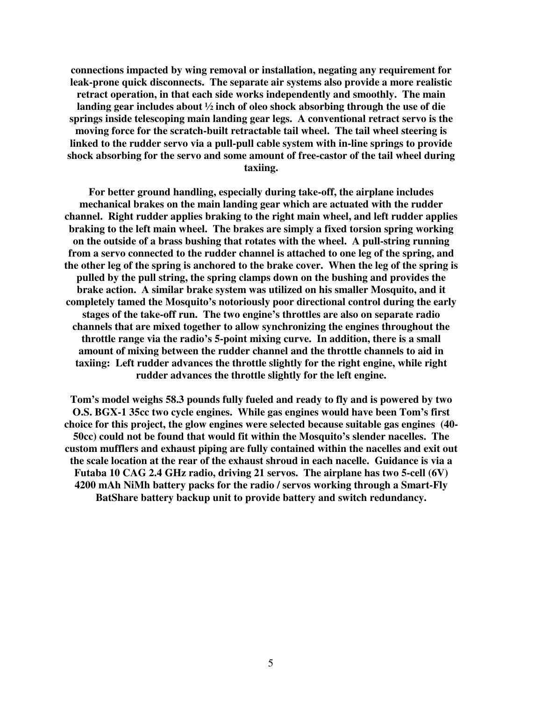**connections impacted by wing removal or installation, negating any requirement for leak-prone quick disconnects. The separate air systems also provide a more realistic retract operation, in that each side works independently and smoothly. The main landing gear includes about ½ inch of oleo shock absorbing through the use of die springs inside telescoping main landing gear legs. A conventional retract servo is the moving force for the scratch-built retractable tail wheel. The tail wheel steering is linked to the rudder servo via a pull-pull cable system with in-line springs to provide shock absorbing for the servo and some amount of free-castor of the tail wheel during taxiing.** 

**For better ground handling, especially during take-off, the airplane includes mechanical brakes on the main landing gear which are actuated with the rudder channel. Right rudder applies braking to the right main wheel, and left rudder applies braking to the left main wheel. The brakes are simply a fixed torsion spring working on the outside of a brass bushing that rotates with the wheel. A pull-string running from a servo connected to the rudder channel is attached to one leg of the spring, and the other leg of the spring is anchored to the brake cover. When the leg of the spring is pulled by the pull string, the spring clamps down on the bushing and provides the brake action. A similar brake system was utilized on his smaller Mosquito, and it completely tamed the Mosquito's notoriously poor directional control during the early stages of the take-off run. The two engine's throttles are also on separate radio channels that are mixed together to allow synchronizing the engines throughout the throttle range via the radio's 5-point mixing curve. In addition, there is a small amount of mixing between the rudder channel and the throttle channels to aid in taxiing: Left rudder advances the throttle slightly for the right engine, while right rudder advances the throttle slightly for the left engine.** 

**Tom's model weighs 58.3 pounds fully fueled and ready to fly and is powered by two O.S. BGX-1 35cc two cycle engines. While gas engines would have been Tom's first choice for this project, the glow engines were selected because suitable gas engines (40- 50cc) could not be found that would fit within the Mosquito's slender nacelles. The custom mufflers and exhaust piping are fully contained within the nacelles and exit out the scale location at the rear of the exhaust shroud in each nacelle. Guidance is via a Futaba 10 CAG 2.4 GHz radio, driving 21 servos. The airplane has two 5-cell (6V) 4200 mAh NiMh battery packs for the radio / servos working through a Smart-Fly BatShare battery backup unit to provide battery and switch redundancy.**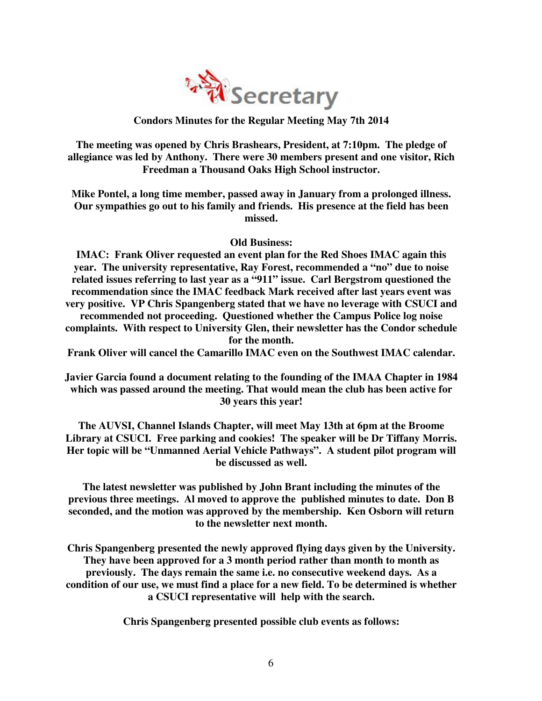

**The meeting was opened by Chris Brashears, President, at 7:10pm. The pledge of allegiance was led by Anthony. There were 30 members present and one visitor, Rich Freedman a Thousand Oaks High School instructor.** 

**Mike Pontel, a long time member, passed away in January from a prolonged illness. Our sympathies go out to his family and friends. His presence at the field has been missed.** 

# **Old Business:**

**IMAC: Frank Oliver requested an event plan for the Red Shoes IMAC again this year. The university representative, Ray Forest, recommended a "no" due to noise related issues referring to last year as a "911" issue. Carl Bergstrom questioned the recommendation since the IMAC feedback Mark received after last years event was very positive. VP Chris Spangenberg stated that we have no leverage with CSUCI and** 

**recommended not proceeding. Questioned whether the Campus Police log noise complaints. With respect to University Glen, their newsletter has the Condor schedule for the month.** 

**Frank Oliver will cancel the Camarillo IMAC even on the Southwest IMAC calendar.** 

**Javier Garcia found a document relating to the founding of the IMAA Chapter in 1984 which was passed around the meeting. That would mean the club has been active for 30 years this year!** 

**The AUVSI, Channel Islands Chapter, will meet May 13th at 6pm at the Broome Library at CSUCI. Free parking and cookies! The speaker will be Dr Tiffany Morris. Her topic will be "Unmanned Aerial Vehicle Pathways". A student pilot program will be discussed as well.** 

**The latest newsletter was published by John Brant including the minutes of the previous three meetings. Al moved to approve the published minutes to date. Don B seconded, and the motion was approved by the membership. Ken Osborn will return to the newsletter next month.** 

**Chris Spangenberg presented the newly approved flying days given by the University. They have been approved for a 3 month period rather than month to month as previously. The days remain the same i.e. no consecutive weekend days. As a condition of our use, we must find a place for a new field. To be determined is whether a CSUCI representative will help with the search.** 

**Chris Spangenberg presented possible club events as follows:**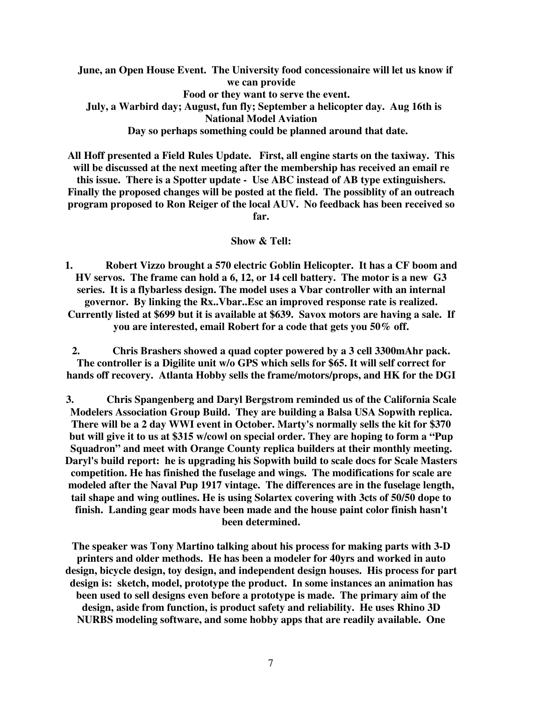**June, an Open House Event. The University food concessionaire will let us know if we can provide Food or they want to serve the event. July, a Warbird day; August, fun fly; September a helicopter day. Aug 16th is National Model Aviation Day so perhaps something could be planned around that date.** 

**All Hoff presented a Field Rules Update. First, all engine starts on the taxiway. This will be discussed at the next meeting after the membership has received an email re this issue. There is a Spotter update - Use ABC instead of AB type extinguishers. Finally the proposed changes will be posted at the field. The possiblity of an outreach program proposed to Ron Reiger of the local AUV. No feedback has been received so far.** 

### **Show & Tell:**

**1. Robert Vizzo brought a 570 electric Goblin Helicopter. It has a CF boom and HV servos. The frame can hold a 6, 12, or 14 cell battery. The motor is a new G3 series. It is a flybarless design. The model uses a Vbar controller with an internal governor. By linking the Rx..Vbar..Esc an improved response rate is realized. Currently listed at \$699 but it is available at \$639. Savox motors are having a sale. If you are interested, email Robert for a code that gets you 50% off.** 

**2. Chris Brashers showed a quad copter powered by a 3 cell 3300mAhr pack. The controller is a Digilite unit w/o GPS which sells for \$65. It will self correct for hands off recovery. Atlanta Hobby sells the frame/motors/props, and HK for the DGI** 

**3. Chris Spangenberg and Daryl Bergstrom reminded us of the California Scale Modelers Association Group Build. They are building a Balsa USA Sopwith replica. There will be a 2 day WWI event in October. Marty's normally sells the kit for \$370 but will give it to us at \$315 w/cowl on special order. They are hoping to form a "Pup Squadron" and meet with Orange County replica builders at their monthly meeting. Daryl's build report: he is upgrading his Sopwith build to scale docs for Scale Masters competition. He has finished the fuselage and wings. The modifications for scale are modeled after the Naval Pup 1917 vintage. The differences are in the fuselage length, tail shape and wing outlines. He is using Solartex covering with 3cts of 50/50 dope to finish. Landing gear mods have been made and the house paint color finish hasn't been determined.** 

**The speaker was Tony Martino talking about his process for making parts with 3-D printers and older methods. He has been a modeler for 40yrs and worked in auto design, bicycle design, toy design, and independent design houses. His process for part design is: sketch, model, prototype the product. In some instances an animation has been used to sell designs even before a prototype is made. The primary aim of the design, aside from function, is product safety and reliability. He uses Rhino 3D NURBS modeling software, and some hobby apps that are readily available. One**